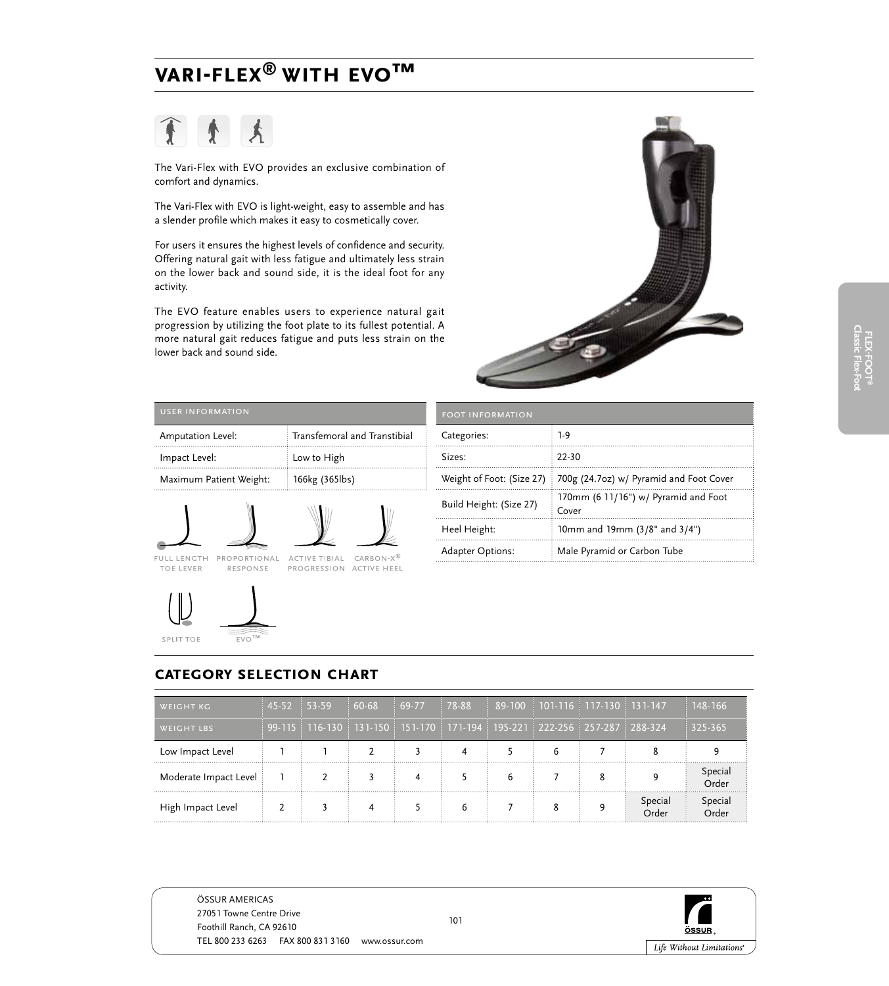# ♦

The Vari-Flex with EVO provides an exclusive combination of comfort and dynamics.

The Vari-Flex with EVO is light-weight, easy to assemble and has a slender profile which makes it easy to cosmetically cover.

For users it ensures the highest levels of confidence and security. Offering natural gait with less fatigue and ultimately less strain on the lower back and sound side, it is the ideal foot for any activity.

The EVO feature enables users to experience natural gait progression by utilizing the foot plate to its fullest potential. A more natural gait reduces fatigue and puts less strain on the lower back and sound side.



| Transfemoral and Transtibial |
|------------------------------|
| Low to High                  |
| 166kg (365lbs)               |
|                              |







TOE LEVER

SPLIT TOE

| <b>FOOT INFORMATION</b>   |                                               |
|---------------------------|-----------------------------------------------|
| Categories:               | 1-9                                           |
| Sizes:                    | $72-30$                                       |
| Weight of Foot: (Size 27) | 700g (24.7oz) w/ Pyramid and Foot Cover       |
| Build Height: (Size 27)   | 170mm (6 11/16") w/ Pyramid and Foot<br>Cover |
| Heel Height:              | 10mm and 19mm (3/8" and 3/4")                 |
| <b>Adapter Options:</b>   | Male Pyramid or Carbon Tube                   |

### **category selection chart**

EVO

| <b>WEIGHT KG</b>      | $145-52$ $153-59$ |                                                                                                                                                                                                      | $60-68$ | $169-77$ | $178-88$ |   | 89-100 101-116 117-130 131-147 |                       | 148-166          |
|-----------------------|-------------------|------------------------------------------------------------------------------------------------------------------------------------------------------------------------------------------------------|---------|----------|----------|---|--------------------------------|-----------------------|------------------|
| <b>WEIGHT LBS</b>     |                   | $\frac{1}{2}$ 99-115 $\frac{1}{2}$ 116-130 $\frac{1}{2}$ 131-150 $\frac{1}{2}$ 151-170 $\frac{1}{2}$ 171-194 $\frac{1}{2}$ 195-221 $\frac{1}{2}$ 222-256 $\frac{1}{2}$ 257-287 $\frac{1}{2}$ 288-324 |         |          |          |   |                                |                       | 325-365          |
| Low Impact Level      |                   |                                                                                                                                                                                                      |         |          |          |   | h                              |                       |                  |
| Moderate Impact Level |                   |                                                                                                                                                                                                      |         |          |          | h |                                |                       | Special<br>∩rder |
| High Impact Level     |                   |                                                                                                                                                                                                      |         |          | h        |   | 8                              | Special<br>.<br>Order | Special          |



ÖSSUR AMERICAS 27051 Towne Centre Drive Foothill Ranch, CA 92610 TEL 800 233 6263 FAX 800 831 3160 www.ossur.com

101

ÖSSUR Life Without Limitations\*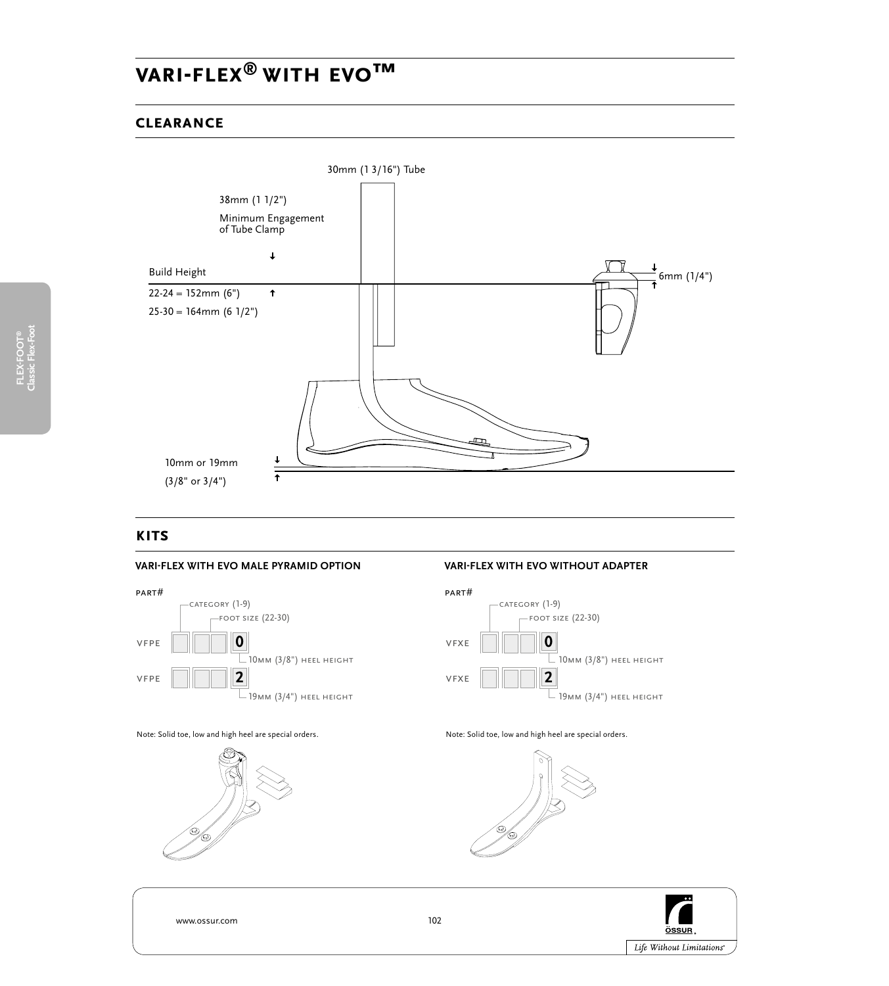### **clearance**



### **kits**

#### **vari-flex with evo MALE PYRAMID OPTION**



#### **vari-flex with evo WITHOUT ADAPTER**



Note: Solid toe, low and high heel are special orders.



Note: Solid toe, low and high heel are special orders.



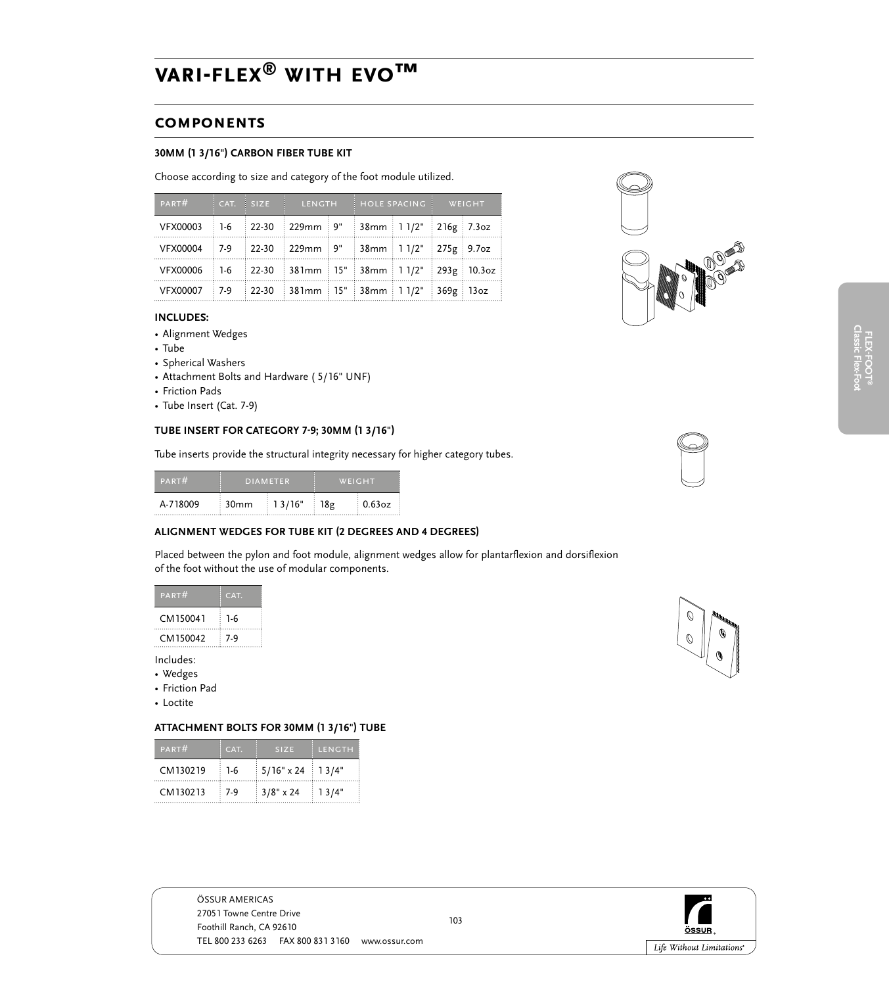# **components**

#### **30mm (1 3/16") CARBON FIBER TUBE KIT**

Choose according to size and category of the foot module utilized.

| PART#                                                | $CAT.$ SIZE | LENGTH                                                 | HOLE SPACING             | WEIGHT |  |
|------------------------------------------------------|-------------|--------------------------------------------------------|--------------------------|--------|--|
| VFX00003                                             |             | 1-6 22-30 229mm 9"                                     | $38mm$ 1 1/2" 216g 7.3oz |        |  |
| VFX00004 7-9 22-30 229mm 9" 38mm 1 1/2" 275g 9.7oz   |             |                                                        |                          |        |  |
| VFX00006 1-6 22-30 381mm 15" 38mm 1 1/2" 293g 10.3oz |             |                                                        |                          |        |  |
| VFX00007                                             |             | $\frac{1}{2}$ 7-9 22-30 381mm 15" 38mm 11/2" 369g 13oz |                          |        |  |

#### **Includes:**

- Alignment Wedges
- • Tube
- • Spherical Washers
- Attachment Bolts and Hardware (5/16" UNF)
- Friction Pads
- Tube Insert (Cat. 7-9)

#### **TUBE INSERT FOR CATEGORY 7-9; 30mm (1 3/16")**

Tube inserts provide the structural integrity necessary for higher category tubes.

| PART#    | DIAMETER |                       | WEIGHT    |        |
|----------|----------|-----------------------|-----------|--------|
| A-718009 | 30mm     | $\frac{1}{2}$ 1 3/16" | $\pm$ 18g | 0.63oz |

#### **ALIGNMENT WEDGES FOR TUBE KIT (2 DEGREES AND 4 DEGREES)**

Placed between the pylon and foot module, alignment wedges allow for plantarflexion and dorsiflexion of the foot without the use of modular components.

| PART#    | CAT.  |
|----------|-------|
| CM150041 | 1-6   |
| CM150042 | $7-9$ |

Includes:

- • Wedges
- Friction Pad
- • Loctite

#### **ATTACHMENT BOLTS FOR 30mm (1 3/16") TUBE**

| PART#    | CAT.  | <b>SIZE</b>       | <b>LENGTH</b> |
|----------|-------|-------------------|---------------|
| CM130219 | $1-6$ | $5/16" \times 24$ | 13/4"         |
| CM130213 | $7-9$ | $3/8$ " x 24      | 13/4"         |







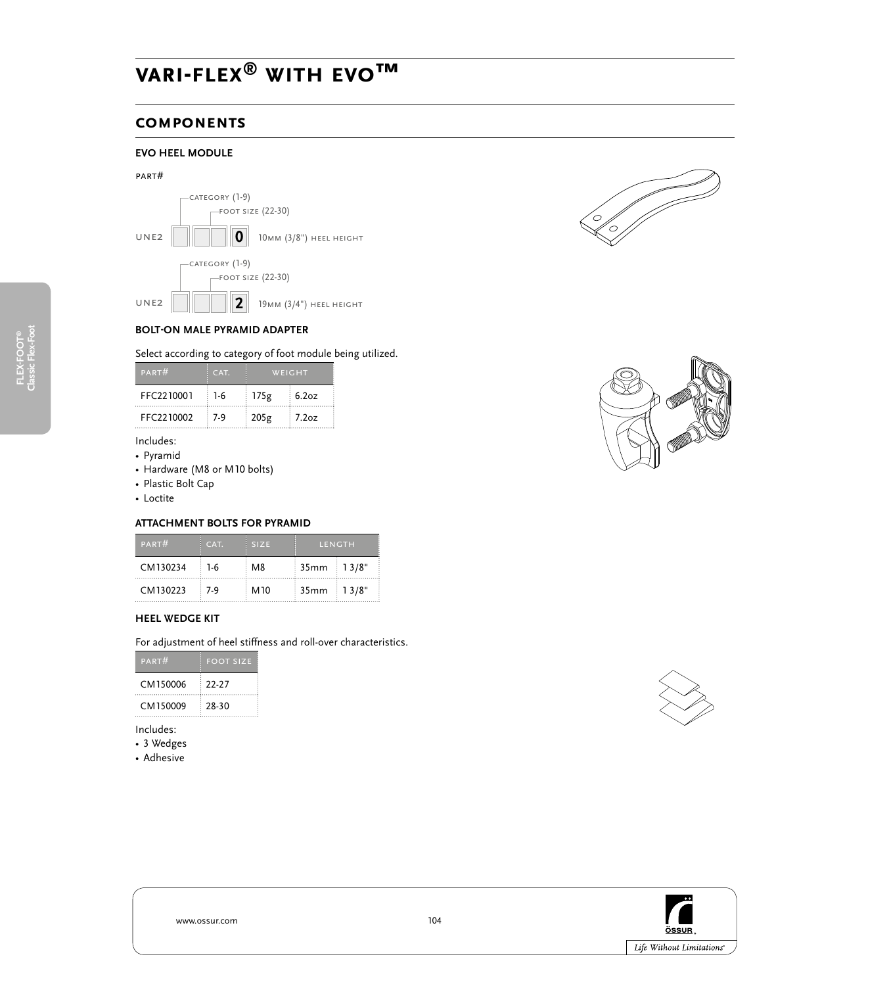### **components**

# **evo heel module**

#### part#





**UNE2**  $\|\|\|\|$   $\|\|$   $\|$   $\|$   $\|$   $\|$  19 MM (3/4") HEEL HEIGHT



#### Select according to category of foot module being utilized.

| PART#      | CAT. | WEIGHT |       |
|------------|------|--------|-------|
| FFC2210001 | -1-6 | 175g   | 6.2oz |
| FFC2210002 | 7-9  | 205g   | 1.2oz |

Includes:

- • Pyramid
- • Hardware (M8 or M10 bolts)
- • Plastic Bolt Cap
- Loctite

#### **ATTACHMENT BOLTS FOR PYRAMID**

| PART#    | CAT.  | <b>SIZE</b>     |                                        | LENGTH |
|----------|-------|-----------------|----------------------------------------|--------|
| CM130234 | $1-6$ | M <sub>8</sub>  | :35mm : 1 3/8"                         |        |
| CM130223 | 7-9   | M <sub>10</sub> | $\frac{1}{2}$ 35mm $\frac{1}{2}$ 13/8" |        |

#### **HEEL WEDGE KIT**

For adjustment of heel stiffness and roll-over characteristics.

| PARTH    | <b>FOOT SIZE</b> |
|----------|------------------|
| CM150006 | -22-27           |
| CM150009 | 28-30            |

Includes:

- 3 Wedges
- • Adhesive







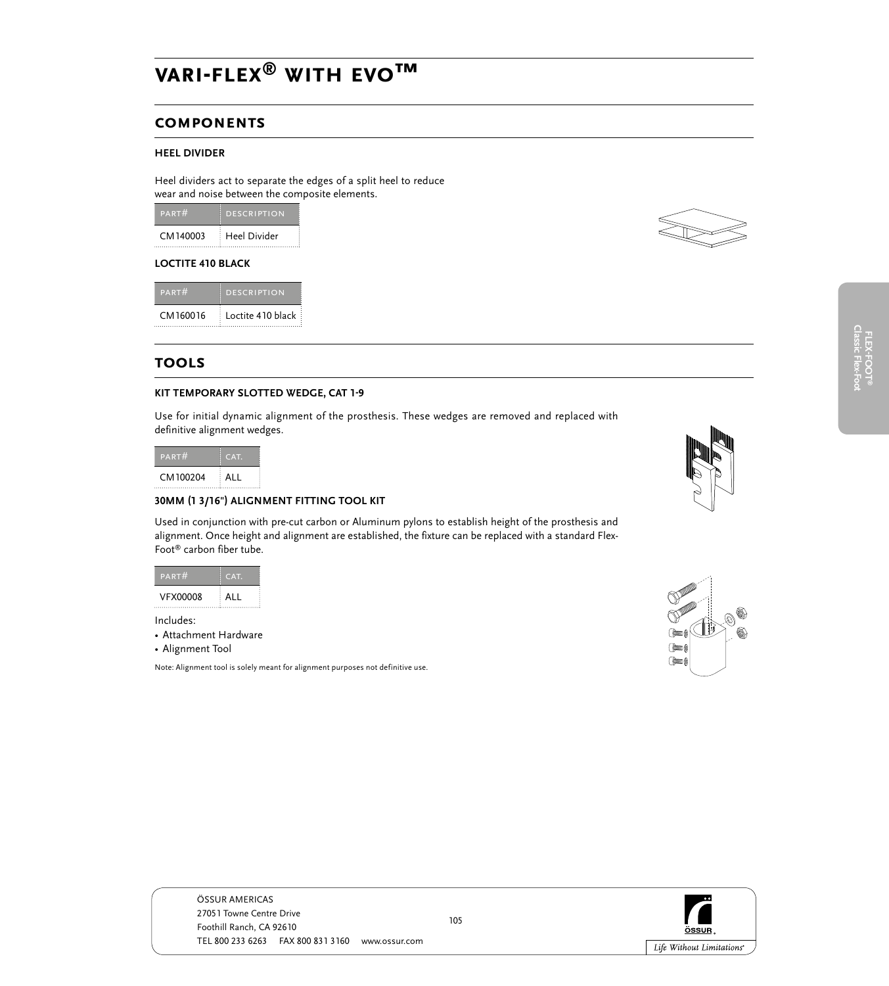### **components**

#### **HEEL DIVIDER**

Heel dividers act to separate the edges of a split heel to reduce wear and noise between the composite elements.

| PART#    | <b>DESCRIPTION</b> |
|----------|--------------------|
| CM140003 | Heel Divider       |

#### **LOCTITE 410 BLACK**

| PART#    | <b>DESCRIPTION</b> |
|----------|--------------------|
| CM160016 | Loctite 410 black  |

### **tools**

#### **KIT TEMPORARY SLOTTED WEDGE, CAT 1-9**

Use for initial dynamic alignment of the prosthesis. These wedges are removed and replaced with definitive alignment wedges.

| PART#    | CAT. |
|----------|------|
| CM100204 | ALI  |
|          |      |

#### **30MM (1 3/16") ALIGNMENT FITTING TOOL KIT**

Used in conjunction with pre-cut carbon or Aluminum pylons to establish height of the prosthesis and alignment. Once height and alignment are established, the fixture can be replaced with a standard Flex-Foot® carbon fiber tube.

| PART#    |      |
|----------|------|
| VFX00008 | A II |

Includes:

• Attachment Hardware

• Alignment Tool

Note: Alignment tool is solely meant for alignment purposes not definitive use.









ÖSSUR AMERICAS 27051 Towne Centre Drive Foothill Ranch, CA 92610 TEL 800 233 6263 FAX 800 831 3160 www.ossur.com

105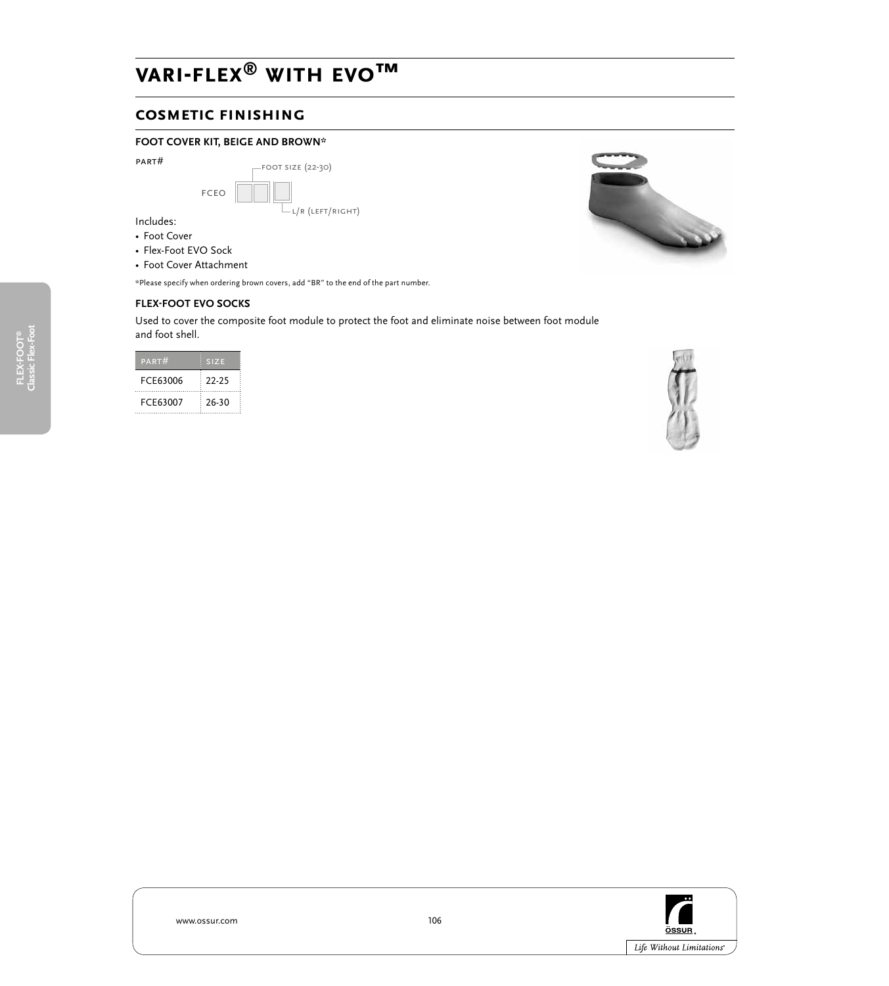### **cosmetic finishing**

#### **FOOT COVER KIT, BEIGE AND BROWN\***

| PART# |      | $-FOOT SIZE (22-30)$    |
|-------|------|-------------------------|
|       | FCEO |                         |
|       |      | $\Box$ L/R (LEFT/RIGHT) |

Includes:

- Foot Cover
- Flex-Foot EVO Sock
- Foot Cover Attachment

\*Please specify when ordering brown covers, add "BR" to the end of the part number.

#### **FLEX-FOOT EVO SOCKS**

Used to cover the composite foot module to protect the foot and eliminate noise between foot module and foot shell.

| PART#    | <b>SIZE</b> |  |
|----------|-------------|--|
| FCE63006 | 22-25       |  |
| FCE63007 | 26-30       |  |